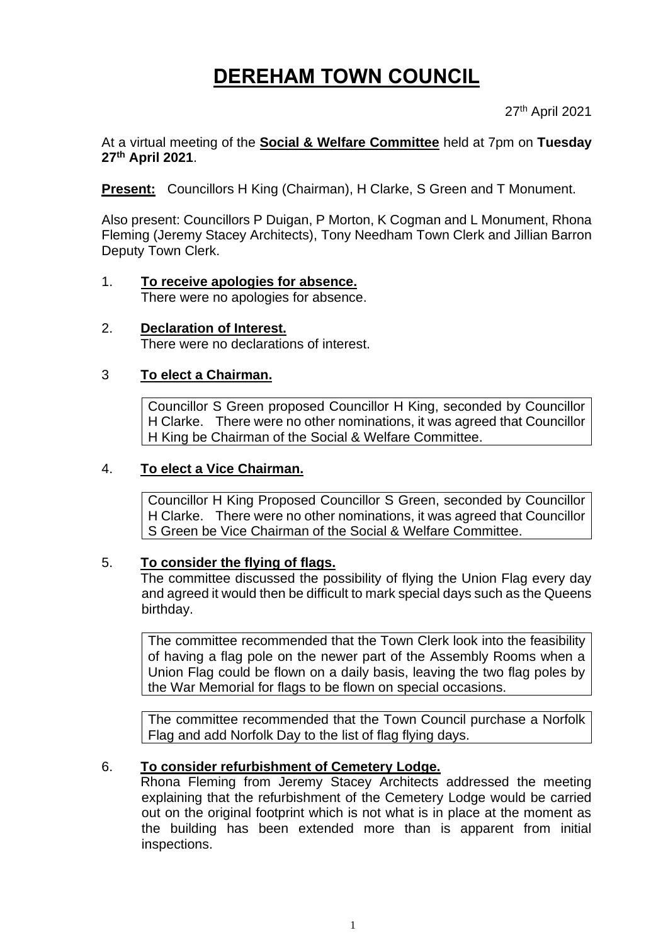# **DEREHAM TOWN COUNCIL**

27th April 2021

At a virtual meeting of the **Social & Welfare Committee** held at 7pm on **Tuesday 27th April 2021**.

**Present:** Councillors H King (Chairman), H Clarke, S Green and T Monument.

Also present: Councillors P Duigan, P Morton, K Cogman and L Monument, Rhona Fleming (Jeremy Stacey Architects), Tony Needham Town Clerk and Jillian Barron Deputy Town Clerk.

- 1. **To receive apologies for absence.** There were no apologies for absence.
- 2. **Declaration of Interest.** There were no declarations of interest.

# 3 **To elect a Chairman.**

Councillor S Green proposed Councillor H King, seconded by Councillor H Clarke. There were no other nominations, it was agreed that Councillor H King be Chairman of the Social & Welfare Committee.

# 4. **To elect a Vice Chairman.**

Councillor H King Proposed Councillor S Green, seconded by Councillor H Clarke. There were no other nominations, it was agreed that Councillor S Green be Vice Chairman of the Social & Welfare Committee.

# 5. **To consider the flying of flags.**

The committee discussed the possibility of flying the Union Flag every day and agreed it would then be difficult to mark special days such as the Queens birthday.

The committee recommended that the Town Clerk look into the feasibility of having a flag pole on the newer part of the Assembly Rooms when a Union Flag could be flown on a daily basis, leaving the two flag poles by the War Memorial for flags to be flown on special occasions.

The committee recommended that the Town Council purchase a Norfolk Flag and add Norfolk Day to the list of flag flying days.

# 6. **To consider refurbishment of Cemetery Lodge.**

Rhona Fleming from Jeremy Stacey Architects addressed the meeting explaining that the refurbishment of the Cemetery Lodge would be carried out on the original footprint which is not what is in place at the moment as the building has been extended more than is apparent from initial inspections.